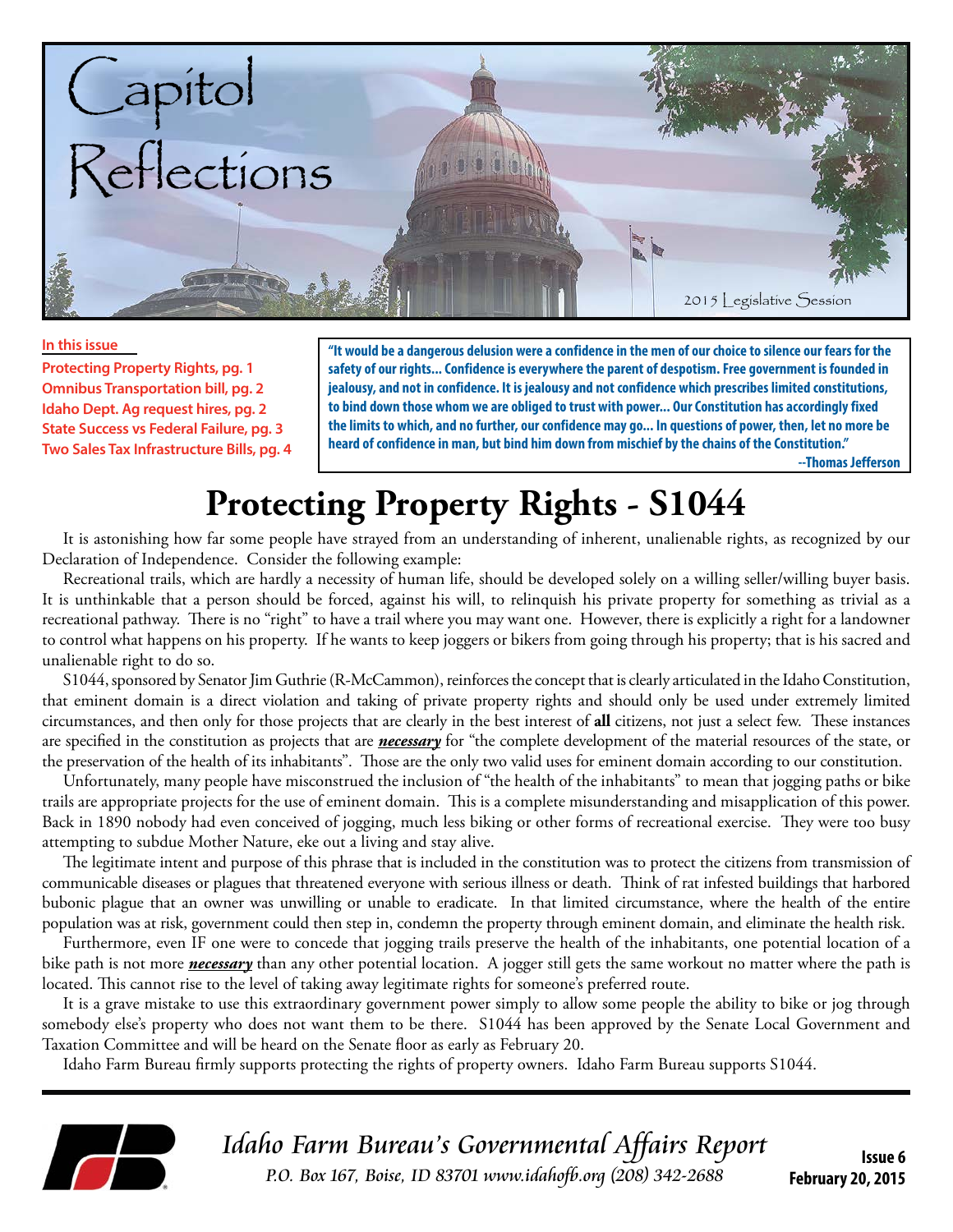

#### **In this issue**

**Protecting Property Rights, pg. 1 Omnibus Transportation bill, pg. 2 Idaho Dept. Ag request hires, pg. 2 State Success vs Federal Failure, pg. 3 Two Sales Tax Infrastructure Bills, pg. 4**

**"It would be a dangerous delusion were a confidence in the men of our choice to silence our fears for the safety of our rights... Confidence is everywhere the parent of despotism. Free government is founded in jealousy, and not in confidence. It is jealousy and not confidence which prescribes limited constitutions, to bind down those whom we are obliged to trust with power... Our Constitution has accordingly fixed the limits to which, and no further, our confidence may go... In questions of power, then, let no more be heard of confidence in man, but bind him down from mischief by the chains of the Constitution."** 

 **--Thomas Jefferson**

# **Protecting Property Rights - S1044**

It is astonishing how far some people have strayed from an understanding of inherent, unalienable rights, as recognized by our Declaration of Independence. Consider the following example:

Recreational trails, which are hardly a necessity of human life, should be developed solely on a willing seller/willing buyer basis. It is unthinkable that a person should be forced, against his will, to relinquish his private property for something as trivial as a recreational pathway. There is no "right" to have a trail where you may want one. However, there is explicitly a right for a landowner to control what happens on his property. If he wants to keep joggers or bikers from going through his property; that is his sacred and unalienable right to do so.

S1044, sponsored by Senator Jim Guthrie (R-McCammon), reinforces the concept that is clearly articulated in the Idaho Constitution, that eminent domain is a direct violation and taking of private property rights and should only be used under extremely limited circumstances, and then only for those projects that are clearly in the best interest of **all** citizens, not just a select few. These instances are specified in the constitution as projects that are *necessary* for "the complete development of the material resources of the state, or the preservation of the health of its inhabitants". Those are the only two valid uses for eminent domain according to our constitution.

Unfortunately, many people have misconstrued the inclusion of "the health of the inhabitants" to mean that jogging paths or bike trails are appropriate projects for the use of eminent domain. This is a complete misunderstanding and misapplication of this power. Back in 1890 nobody had even conceived of jogging, much less biking or other forms of recreational exercise. They were too busy attempting to subdue Mother Nature, eke out a living and stay alive.

The legitimate intent and purpose of this phrase that is included in the constitution was to protect the citizens from transmission of communicable diseases or plagues that threatened everyone with serious illness or death. Think of rat infested buildings that harbored bubonic plague that an owner was unwilling or unable to eradicate. In that limited circumstance, where the health of the entire population was at risk, government could then step in, condemn the property through eminent domain, and eliminate the health risk.

Furthermore, even IF one were to concede that jogging trails preserve the health of the inhabitants, one potential location of a bike path is not more *necessary* than any other potential location. A jogger still gets the same workout no matter where the path is located. This cannot rise to the level of taking away legitimate rights for someone's preferred route.

It is a grave mistake to use this extraordinary government power simply to allow some people the ability to bike or jog through somebody else's property who does not want them to be there. S1044 has been approved by the Senate Local Government and Taxation Committee and will be heard on the Senate floor as early as February 20.

Idaho Farm Bureau firmly supports protecting the rights of property owners. Idaho Farm Bureau supports S1044.



Idaho Farm Bureau's Governmental Affairs Report P.O. Box 167, Boise, ID 83701 www.idahofb.org (208) 342-2688

**Issue 6 February 20, 2015**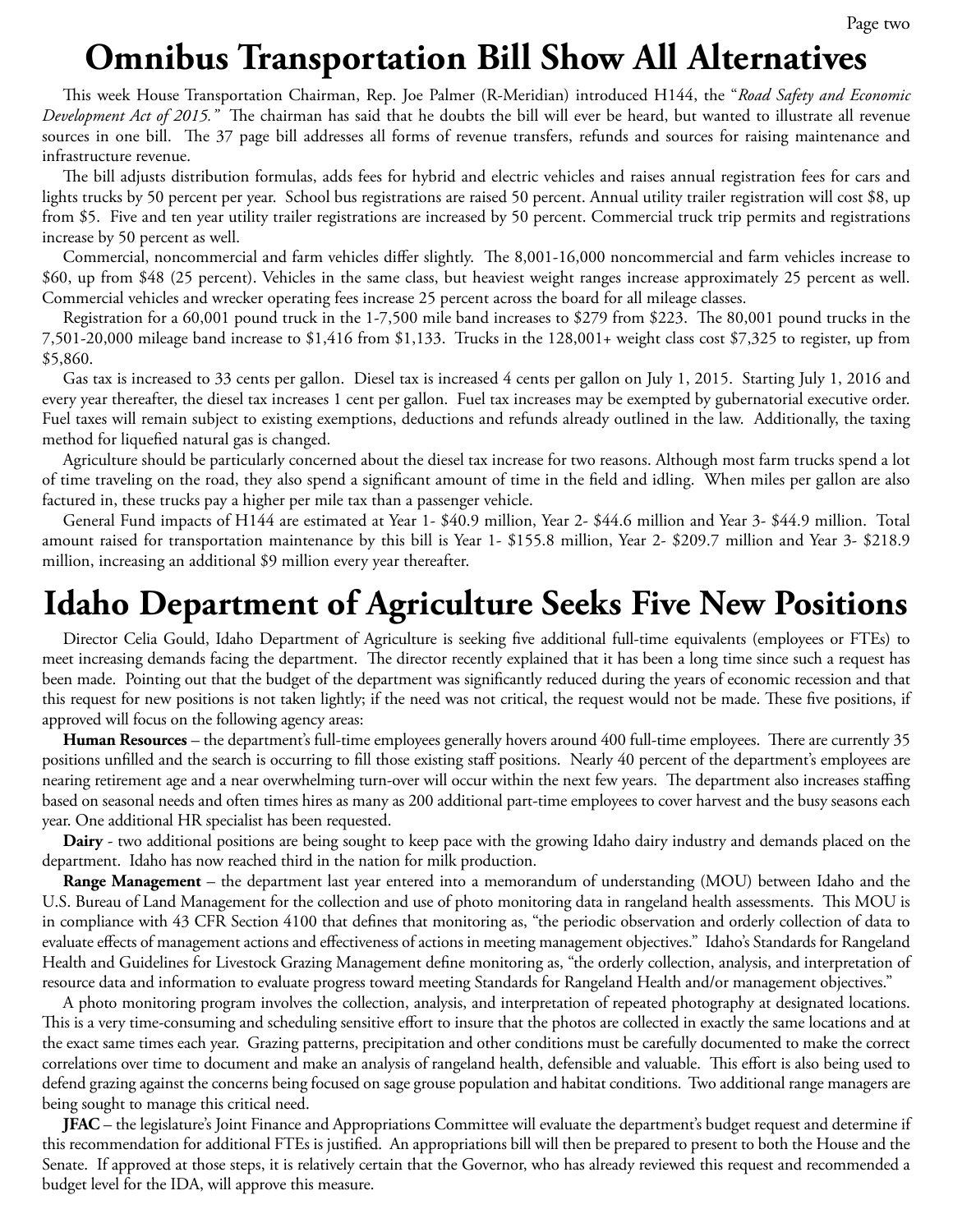## **Omnibus Transportation Bill Show All Alternatives**

This week House Transportation Chairman, Rep. Joe Palmer (R-Meridian) introduced H144, the "*Road Safety and Economic Development Act of 2015."* The chairman has said that he doubts the bill will ever be heard, but wanted to illustrate all revenue sources in one bill. The 37 page bill addresses all forms of revenue transfers, refunds and sources for raising maintenance and infrastructure revenue.

The bill adjusts distribution formulas, adds fees for hybrid and electric vehicles and raises annual registration fees for cars and lights trucks by 50 percent per year. School bus registrations are raised 50 percent. Annual utility trailer registration will cost \$8, up from \$5. Five and ten year utility trailer registrations are increased by 50 percent. Commercial truck trip permits and registrations increase by 50 percent as well.

Commercial, noncommercial and farm vehicles differ slightly. The 8,001-16,000 noncommercial and farm vehicles increase to \$60, up from \$48 (25 percent). Vehicles in the same class, but heaviest weight ranges increase approximately 25 percent as well. Commercial vehicles and wrecker operating fees increase 25 percent across the board for all mileage classes.

Registration for a 60,001 pound truck in the 1-7,500 mile band increases to \$279 from \$223. The 80,001 pound trucks in the 7,501-20,000 mileage band increase to \$1,416 from \$1,133. Trucks in the 128,001+ weight class cost \$7,325 to register, up from \$5,860.

Gas tax is increased to 33 cents per gallon. Diesel tax is increased 4 cents per gallon on July 1, 2015. Starting July 1, 2016 and every year thereafter, the diesel tax increases 1 cent per gallon. Fuel tax increases may be exempted by gubernatorial executive order. Fuel taxes will remain subject to existing exemptions, deductions and refunds already outlined in the law. Additionally, the taxing method for liquefied natural gas is changed.

Agriculture should be particularly concerned about the diesel tax increase for two reasons. Although most farm trucks spend a lot of time traveling on the road, they also spend a significant amount of time in the field and idling. When miles per gallon are also factured in, these trucks pay a higher per mile tax than a passenger vehicle.

General Fund impacts of H144 are estimated at Year 1- \$40.9 million, Year 2- \$44.6 million and Year 3- \$44.9 million. Total amount raised for transportation maintenance by this bill is Year 1- \$155.8 million, Year 2- \$209.7 million and Year 3- \$218.9 million, increasing an additional \$9 million every year thereafter.

### **Idaho Department of Agriculture Seeks Five New Positions**

Director Celia Gould, Idaho Department of Agriculture is seeking five additional full-time equivalents (employees or FTEs) to meet increasing demands facing the department. The director recently explained that it has been a long time since such a request has been made. Pointing out that the budget of the department was significantly reduced during the years of economic recession and that this request for new positions is not taken lightly; if the need was not critical, the request would not be made. These five positions, if approved will focus on the following agency areas:

**Human Resources** – the department's full-time employees generally hovers around 400 full-time employees. There are currently 35 positions unfilled and the search is occurring to fill those existing staff positions. Nearly 40 percent of the department's employees are nearing retirement age and a near overwhelming turn-over will occur within the next few years. The department also increases staffing based on seasonal needs and often times hires as many as 200 additional part-time employees to cover harvest and the busy seasons each year. One additional HR specialist has been requested.

**Dairy** - two additional positions are being sought to keep pace with the growing Idaho dairy industry and demands placed on the department. Idaho has now reached third in the nation for milk production.

**Range Management** – the department last year entered into a memorandum of understanding (MOU) between Idaho and the U.S. Bureau of Land Management for the collection and use of photo monitoring data in rangeland health assessments. This MOU is in compliance with 43 CFR Section 4100 that defines that monitoring as, "the periodic observation and orderly collection of data to evaluate effects of management actions and effectiveness of actions in meeting management objectives." Idaho's Standards for Rangeland Health and Guidelines for Livestock Grazing Management define monitoring as, "the orderly collection, analysis, and interpretation of resource data and information to evaluate progress toward meeting Standards for Rangeland Health and/or management objectives."

A photo monitoring program involves the collection, analysis, and interpretation of repeated photography at designated locations. This is a very time-consuming and scheduling sensitive effort to insure that the photos are collected in exactly the same locations and at the exact same times each year. Grazing patterns, precipitation and other conditions must be carefully documented to make the correct correlations over time to document and make an analysis of rangeland health, defensible and valuable. This effort is also being used to defend grazing against the concerns being focused on sage grouse population and habitat conditions. Two additional range managers are being sought to manage this critical need.

**JFAC** – the legislature's Joint Finance and Appropriations Committee will evaluate the department's budget request and determine if this recommendation for additional FTEs is justified. An appropriations bill will then be prepared to present to both the House and the Senate. If approved at those steps, it is relatively certain that the Governor, who has already reviewed this request and recommended a budget level for the IDA, will approve this measure.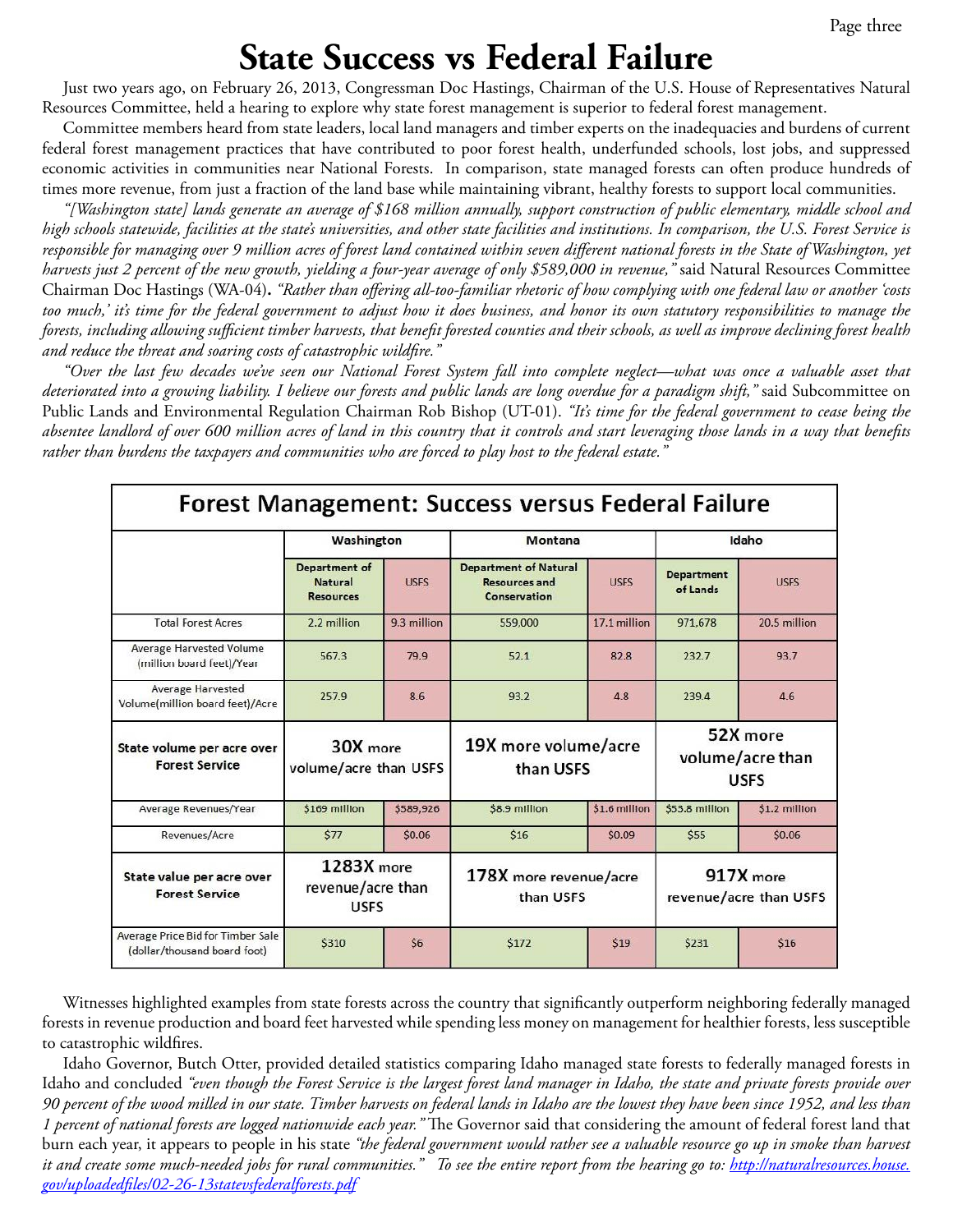### **State Success vs Federal Failure**

Just two years ago, on February 26, 2013, Congressman Doc Hastings, Chairman of the U.S. House of Representatives Natural Resources Committee, held a hearing to explore why state forest management is superior to federal forest management.

Committee members heard from state leaders, local land managers and timber experts on the inadequacies and burdens of current federal forest management practices that have contributed to poor forest health, underfunded schools, lost jobs, and suppressed economic activities in communities near National Forests. In comparison, state managed forests can often produce hundreds of times more revenue, from just a fraction of the land base while maintaining vibrant, healthy forests to support local communities.

*"[Washington state] lands generate an average of \$168 million annually, support construction of public elementary, middle school and high schools statewide, facilities at the state's universities, and other state facilities and institutions. In comparison, the U.S. Forest Service is responsible for managing over 9 million acres of forest land contained within seven different national forests in the State of Washington, yet harvests just 2 percent of the new growth, yielding a four-year average of only \$589,000 in revenue,"* said Natural Resources Committee Chairman Doc Hastings (WA-04)**.** *"Rather than offering all-too-familiar rhetoric of how complying with one federal law or another 'costs too much,' it's time for the federal government to adjust how it does business, and honor its own statutory responsibilities to manage the forests, including allowing sufficient timber harvests, that benefit forested counties and their schools, as well as improve declining forest health and reduce the threat and soaring costs of catastrophic wildfire."*

*"Over the last few decades we've seen our National Forest System fall into complete neglect—what was once a valuable asset that deteriorated into a growing liability. I believe our forests and public lands are long overdue for a paradigm shift,"* said Subcommittee on Public Lands and Environmental Regulation Chairman Rob Bishop (UT-01). *"It's time for the federal government to cease being the absentee landlord of over 600 million acres of land in this country that it controls and start leveraging those lands in a way that benefits rather than burdens the taxpayers and communities who are forced to play host to the federal estate."*

| Forest Management: Success versus Federal Failure                 |                                                            |             |                                                                      |               |                                             |               |
|-------------------------------------------------------------------|------------------------------------------------------------|-------------|----------------------------------------------------------------------|---------------|---------------------------------------------|---------------|
|                                                                   | Washington                                                 |             | Montana                                                              |               | Idaho                                       |               |
|                                                                   | <b>Department of</b><br><b>Natural</b><br><b>Resources</b> | <b>USES</b> | <b>Department of Natural</b><br><b>Resources and</b><br>Conservation | <b>USES</b>   | <b>Department</b><br>of Lands               | <b>USFS</b>   |
| <b>Total Forest Acres</b>                                         | 2.2 million                                                | 9.3 million | 559,000                                                              | 17.1 million  | 971.678                                     | 20.5 million  |
| <b>Average Harvested Volume</b><br>(million board feet)/Year      | 567.3                                                      | 79.9        | 52.1                                                                 | 82.8          | 232.7                                       | 93.7          |
| <b>Average Harvested</b><br>Volume(million board feet)/Acre       | 257.9                                                      | 8.6         | 93.2                                                                 | 4.8           | 239.4                                       | 4.6           |
| State volume per acre over<br><b>Forest Service</b>               | 30X more<br>volume/acre than USFS                          |             | 19X more volume/acre<br>than USFS                                    |               | 52X more<br>volume/acre than<br><b>USFS</b> |               |
| Average Revenues/Year                                             | \$169 million                                              | \$589,926   | \$8.9 million                                                        | \$1.6 million | \$53.8 million                              | \$1.2 million |
| Revenues/Acre                                                     | \$77                                                       | \$0.06      | \$16                                                                 | \$0.09        | \$55                                        | \$0.06        |
| State value per acre over<br><b>Forest Service</b>                | 1283X more<br>revenue/acre than<br><b>USFS</b>             |             | 178X more revenue/acre<br>than USFS                                  |               | 917X more<br>revenue/acre than USFS         |               |
| Average Price Bid for Timber Sale<br>(dollar/thousand board foot) | \$310                                                      | \$6         | \$172                                                                | \$19          | \$231                                       | \$16          |

Witnesses highlighted examples from state forests across the country that significantly Witnesses highlighted examples from state forests across the country that significantly outperform neighboring federally managed forests in revenue production and board feet harvested while spending less money on management for healthier forests, less susceptible phic which restricts.<br>Comparison is not management for the management for the form of the forest susceptible for health in the fores to catastrophic wildfires.

taano Governor, Butch Otter, provided detailed statistics comparing idaho managed state forests to rederally managed forests in<br>Idaho and concluded *"even though the Forest Service is the largest forest land manager in Ida* I percent of national forests are logged nationwide each year." The Governor said that considering the amount of federal forest land that There they allow the long the logged hallow the earn year. The Governor said that considering the amount of federal forest faild that<br>burn each year, it appears to people in his state *"the federal government would rather* real, it appeals to people in his state *in fearma government women nemer see a valuable resource go up in s* it and create some much-needed jobs for rural communities." To see the entire report from the hearing go to: <u>[http://naturalresources.house.](http://naturalresources.house.gov/uploadedfiles/02-26-13statevsfederalforests.pdf)</u><br>gov/uploadedfiles/02-26-13statevsfederalforests pdf *lowest they have been since 1952, and less than 1 percent of national forests are logged*  Idaho Governor, Butch Otter, provided detailed statistics comparing Idaho managed state forests to federally managed forests in *90 percent of the wood milled in our state. Timber harvests on federal lands in Idaho are the lowest they have been since 1952, and less than [gov/uploadedfiles/02-26-13statevsfederalforests.pdf](http://naturalresources.house.gov/uploadedfiles/02-26-13statevsfederalforests.pdf)*